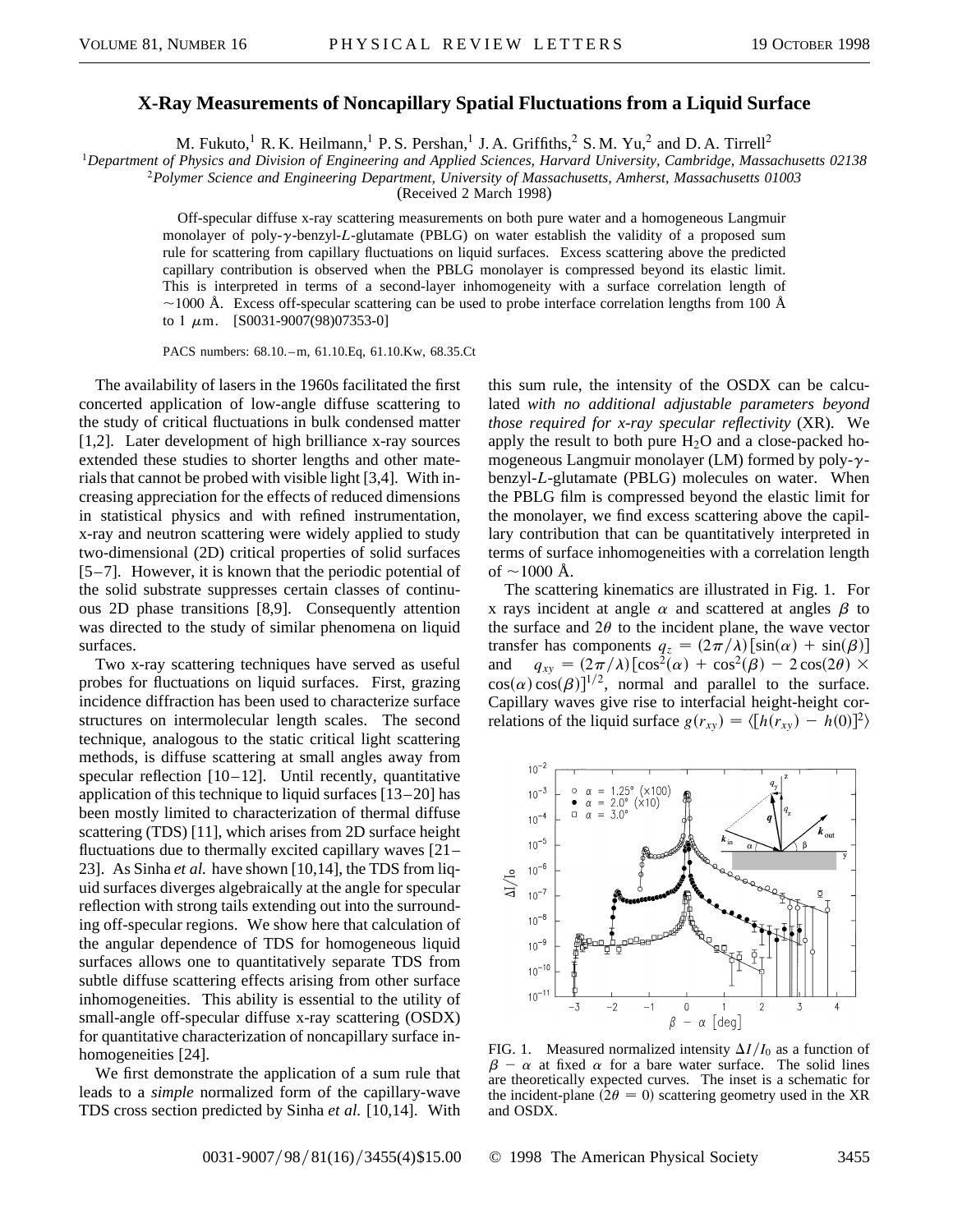## **X-Ray Measurements of Noncapillary Spatial Fluctuations from a Liquid Surface**

M. Fukuto,<sup>1</sup> R. K. Heilmann,<sup>1</sup> P. S. Pershan,<sup>1</sup> J. A. Griffiths,<sup>2</sup> S. M. Yu,<sup>2</sup> and D. A. Tirrell<sup>2</sup>

<sup>1</sup>*Department of Physics and Division of Engineering and Applied Sciences, Harvard University, Cambridge, Massachusetts 02138*

<sup>2</sup>*Polymer Science and Engineering Department, University of Massachusetts, Amherst, Massachusetts 01003*

(Received 2 March 1998)

Off-specular diffuse x-ray scattering measurements on both pure water and a homogeneous Langmuir monolayer of poly-y-benzyl-L-glutamate (PBLG) on water establish the validity of a proposed sum rule for scattering from capillary fluctuations on liquid surfaces. Excess scattering above the predicted capillary contribution is observed when the PBLG monolayer is compressed beyond its elastic limit. This is interpreted in terms of a second-layer inhomogeneity with a surface correlation length of  $\sim$ 1000 Å. Excess off-specular scattering can be used to probe interface correlation lengths from 100 Å to 1  $\mu$ m. [S0031-9007(98)07353-0]

PACS numbers: 68.10. –m, 61.10.Eq, 61.10.Kw, 68.35.Ct

The availability of lasers in the 1960s facilitated the first concerted application of low-angle diffuse scattering to the study of critical fluctuations in bulk condensed matter [1,2]. Later development of high brilliance x-ray sources extended these studies to shorter lengths and other materials that cannot be probed with visible light [3,4]. With increasing appreciation for the effects of reduced dimensions in statistical physics and with refined instrumentation, x-ray and neutron scattering were widely applied to study two-dimensional (2D) critical properties of solid surfaces [5–7]. However, it is known that the periodic potential of the solid substrate suppresses certain classes of continuous 2D phase transitions [8,9]. Consequently attention was directed to the study of similar phenomena on liquid surfaces.

Two x-ray scattering techniques have served as useful probes for fluctuations on liquid surfaces. First, grazing incidence diffraction has been used to characterize surface structures on intermolecular length scales. The second technique, analogous to the static critical light scattering methods, is diffuse scattering at small angles away from specular reflection  $[10-12]$ . Until recently, quantitative application of this technique to liquid surfaces [13–20] has been mostly limited to characterization of thermal diffuse scattering (TDS) [11], which arises from 2D surface height fluctuations due to thermally excited capillary waves [21– 23]. As Sinha *et al.* have shown [10,14], the TDS from liquid surfaces diverges algebraically at the angle for specular reflection with strong tails extending out into the surrounding off-specular regions. We show here that calculation of the angular dependence of TDS for homogeneous liquid surfaces allows one to quantitatively separate TDS from subtle diffuse scattering effects arising from other surface inhomogeneities. This ability is essential to the utility of small-angle off-specular diffuse x-ray scattering (OSDX) for quantitative characterization of noncapillary surface inhomogeneities [24].

We first demonstrate the application of a sum rule that leads to a *simple* normalized form of the capillary-wave TDS cross section predicted by Sinha *et al.* [10,14]. With

this sum rule, the intensity of the OSDX can be calculated *with no additional adjustable parameters beyond those required for x-ray specular reflectivity* (XR). We apply the result to both pure  $H_2O$  and a close-packed homogeneous Langmuir monolayer (LM) formed by poly- $\gamma$ benzyl-*L*-glutamate (PBLG) molecules on water. When the PBLG film is compressed beyond the elastic limit for the monolayer, we find excess scattering above the capillary contribution that can be quantitatively interpreted in terms of surface inhomogeneities with a correlation length of  $\sim$ 1000 Å.

The scattering kinematics are illustrated in Fig. 1. For x rays incident at angle  $\alpha$  and scattered at angles  $\beta$  to the surface and  $2\theta$  to the incident plane, the wave vector transfer has components  $q_z = (2\pi/\lambda) [\sin(\alpha) + \sin(\beta)]$ and  $q_{xy} = (2\pi/\lambda) [\cos^2(\alpha) + \cos^2(\beta) - 2\cos(2\theta)] \times$  $cos(\alpha) cos(\beta)]^{1/2}$ , normal and parallel to the surface. Capillary waves give rise to interfacial height-height correlations of the liquid surface  $g(r_{xy}) = \langle [h(r_{xy}) - h(0)]^2 \rangle$ 



FIG. 1. Measured normalized intensity  $\Delta I/I_0$  as a function of  $\beta - \alpha$  at fixed  $\alpha$  for a bare water surface. The solid lines are theoretically expected curves. The inset is a schematic for the incident-plane ( $2\theta = 0$ ) scattering geometry used in the XR and OSDX.

0031-9007/98/81(16)/3455(4)\$15.00 © 1998 The American Physical Society 3455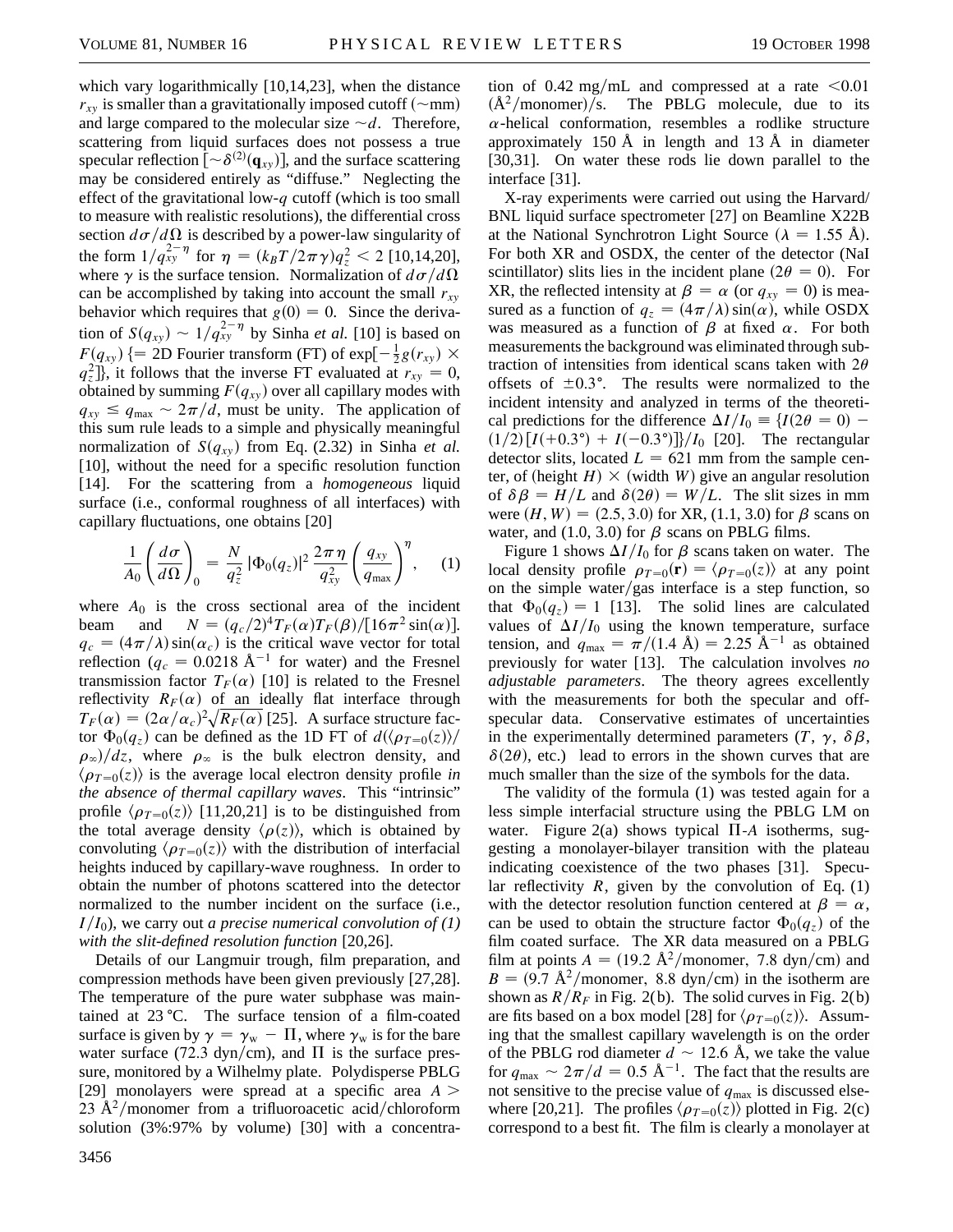which vary logarithmically [10,14,23], when the distance  $r_{xy}$  is smaller than a gravitationally imposed cutoff ( $\sim$ mm) and large compared to the molecular size  $\neg d$ . Therefore, scattering from liquid surfaces does not possess a true specular reflection  $[\sim \delta^{(2)}(\mathbf{q}_{xy})]$ , and the surface scattering may be considered entirely as "diffuse." Neglecting the effect of the gravitational low-*q* cutoff (which is too small to measure with realistic resolutions), the differential cross section  $d\sigma/d\Omega$  is described by a power-law singularity of the form  $1/q_{xy}^{2-\eta}$  for  $\eta = (k_B T/2\pi \gamma)q_z^2 < 2$  [10,14,20], where  $\gamma$  is the surface tension. Normalization of  $d\sigma/d\Omega$ can be accomplished by taking into account the small  $r_{xy}$ behavior which requires that  $g(0) = 0$ . Since the derivation of  $S(q_{xy}) \sim 1/q_{xy}^{2-\eta}$  by Sinha *et al.* [10] is based on  $F(q_{xy})$  {= 2D Fourier transform (FT) of exp[ $-\frac{1}{2}g(r_{xy}) \times$  $q_z^2$ ], it follows that the inverse FT evaluated at  $r_{xy} = 0$ , obtained by summing  $F(q_{xy})$  over all capillary modes with  $q_{xy} \leq q_{\text{max}} \sim 2\pi/d$ , must be unity. The application of this sum rule leads to a simple and physically meaningful normalization of  $S(q_{xy})$  from Eq. (2.32) in Sinha *et al.* [10], without the need for a specific resolution function [14]. For the scattering from a *homogeneous* liquid surface (i.e., conformal roughness of all interfaces) with capillary fluctuations, one obtains [20]

$$
\frac{1}{A_0} \left( \frac{d\sigma}{d\Omega} \right)_0 = \frac{N}{q_z^2} \left| \Phi_0(q_z) \right|^2 \frac{2\pi\,\eta}{q_{xy}^2} \left( \frac{q_{xy}}{q_{\text{max}}} \right)^{\eta}, \quad (1)
$$

where  $A_0$  is the cross sectional area of the incident beam and  $N = (q_c/2)^4 T_F(\alpha) T_F(\beta) / [16\pi^2 \sin(\alpha)].$  $q_c = (4\pi/\lambda)\sin(\alpha_c)$  is the critical wave vector for total reflection ( $q_c = 0.0218 \text{ Å}^{-1}$  for water) and the Fresnel transmission factor  $T_F(\alpha)$  [10] is related to the Fresnel reflectivity  $R_F(\alpha)$  of an ideally flat interface through  $T_F(\alpha) = (2\alpha/\alpha_c)^2 \sqrt{R_F(\alpha)}$  [25]. A surface structure factor  $\Phi_0(q_z)$  can be defined as the 1D FT of  $d(\langle \rho_{T=0}(z) \rangle / \langle z \rangle)$  $\rho_{\infty}/dz$ , where  $\rho_{\infty}$  is the bulk electron density, and  $\langle \rho_{T=0}(z) \rangle$  is the average local electron density profile *in the absence of thermal capillary waves*. This "intrinsic" profile  $\langle \rho_{T=0}(z) \rangle$  [11,20,21] is to be distinguished from the total average density  $\langle \rho(z) \rangle$ , which is obtained by convoluting  $\langle \rho_{\tau=0}(z) \rangle$  with the distribution of interfacial heights induced by capillary-wave roughness. In order to obtain the number of photons scattered into the detector normalized to the number incident on the surface (i.e.,  $I/I_0$ ), we carry out *a precise numerical convolution of* (1) *with the slit-defined resolution function* [20,26].

Details of our Langmuir trough, film preparation, and compression methods have been given previously [27,28]. The temperature of the pure water subphase was maintained at  $23 \text{ °C}$ . The surface tension of a film-coated surface is given by  $\gamma = \gamma_w - \Pi$ , where  $\gamma_w$  is for the bare water surface (72.3 dyn/cm), and  $\Pi$  is the surface pressure, monitored by a Wilhelmy plate. Polydisperse PBLG [29] monolayers were spread at a specific area  $A >$ 23 Å<sup>2</sup>/monomer from a trifluoroacetic acid/chloroform solution (3%:97% by volume) [30] with a concentra-

tion of 0.42 mg/mL and compressed at a rate  $\leq 0.01$  $(\AA^2/monomer)/s$ . The PBLG molecule, due to its  $\alpha$ -helical conformation, resembles a rodlike structure approximately 150 Å in length and 13 Å in diameter [30,31]. On water these rods lie down parallel to the interface [31].

X-ray experiments were carried out using the Harvard/ BNL liquid surface spectrometer [27] on Beamline X22B at the National Synchrotron Light Source ( $\lambda = 1.55$  Å). For both XR and OSDX, the center of the detector (NaI scintillator) slits lies in the incident plane ( $2\theta = 0$ ). For XR, the reflected intensity at  $\beta = \alpha$  (or  $q_{xy} = 0$ ) is measured as a function of  $q_z = (4\pi/\lambda) \sin(\alpha)$ , while OSDX was measured as a function of  $\beta$  at fixed  $\alpha$ . For both measurements the background was eliminated through subtraction of intensities from identical scans taken with  $2\theta$ offsets of  $\pm 0.3^{\circ}$ . The results were normalized to the incident intensity and analyzed in terms of the theoretical predictions for the difference  $\Delta I/I_0 = \{I(2\theta = 0)$  –  $(1/2) [I(+0.3\degree) + I(-0.3\degree)]/I_0$  [20]. The rectangular detector slits, located  $L = 621$  mm from the sample center, of (height  $H$ )  $\times$  (width *W*) give an angular resolution of  $\delta \beta = H/L$  and  $\delta(2\theta) = W/L$ . The slit sizes in mm were  $(H, W) = (2.5, 3.0)$  for XR, (1.1, 3.0) for  $\beta$  scans on water, and  $(1.0, 3.0)$  for  $\beta$  scans on PBLG films.

Figure 1 shows  $\Delta I/I_0$  for  $\beta$  scans taken on water. The local density profile  $\rho_{T=0}(\mathbf{r}) = \langle \rho_{T=0}(z) \rangle$  at any point on the simple water/gas interface is a step function, so that  $\Phi_0(q_z) = 1$  [13]. The solid lines are calculated values of  $\Delta I/I_0$  using the known temperature, surface tension, and  $q_{\text{max}} = \pi/(1.4 \text{ Å}) = 2.25 \text{ Å}^{-1}$  as obtained previously for water [13]. The calculation involves *no adjustable parameters*. The theory agrees excellently with the measurements for both the specular and offspecular data. Conservative estimates of uncertainties in the experimentally determined parameters  $(T, \gamma, \delta \beta,$  $\delta(2\theta)$ , etc.) lead to errors in the shown curves that are much smaller than the size of the symbols for the data.

The validity of the formula (1) was tested again for a less simple interfacial structure using the PBLG LM on water. Figure 2(a) shows typical  $\Pi$ -*A* isotherms, suggesting a monolayer-bilayer transition with the plateau indicating coexistence of the two phases [31]. Specular reflectivity  $R$ , given by the convolution of Eq.  $(1)$ with the detector resolution function centered at  $\beta = \alpha$ , can be used to obtain the structure factor  $\Phi_0(q_z)$  of the film coated surface. The XR data measured on a PBLG film at points  $A = (19.2 \text{ Å}^2/\text{monomer}, 7.8 \text{ dyn/cm})$  and  $B = (9.7 \text{ Å}^2/\text{monomer}, 8.8 \text{ dyn/cm})$  in the isotherm are shown as  $R/R_F$  in Fig. 2(b). The solid curves in Fig. 2(b) are fits based on a box model [28] for  $\langle \rho_{T=0}(z) \rangle$ . Assuming that the smallest capillary wavelength is on the order of the PBLG rod diameter  $d \sim 12.6$  Å, we take the value for  $q_{\text{max}} \sim 2\pi/d = 0.5 \text{ \AA}^{-1}$ . The fact that the results are not sensitive to the precise value of  $q_{\text{max}}$  is discussed elsewhere [20,21]. The profiles  $\langle \rho_{T=0}(z) \rangle$  plotted in Fig. 2(c) correspond to a best fit. The film is clearly a monolayer at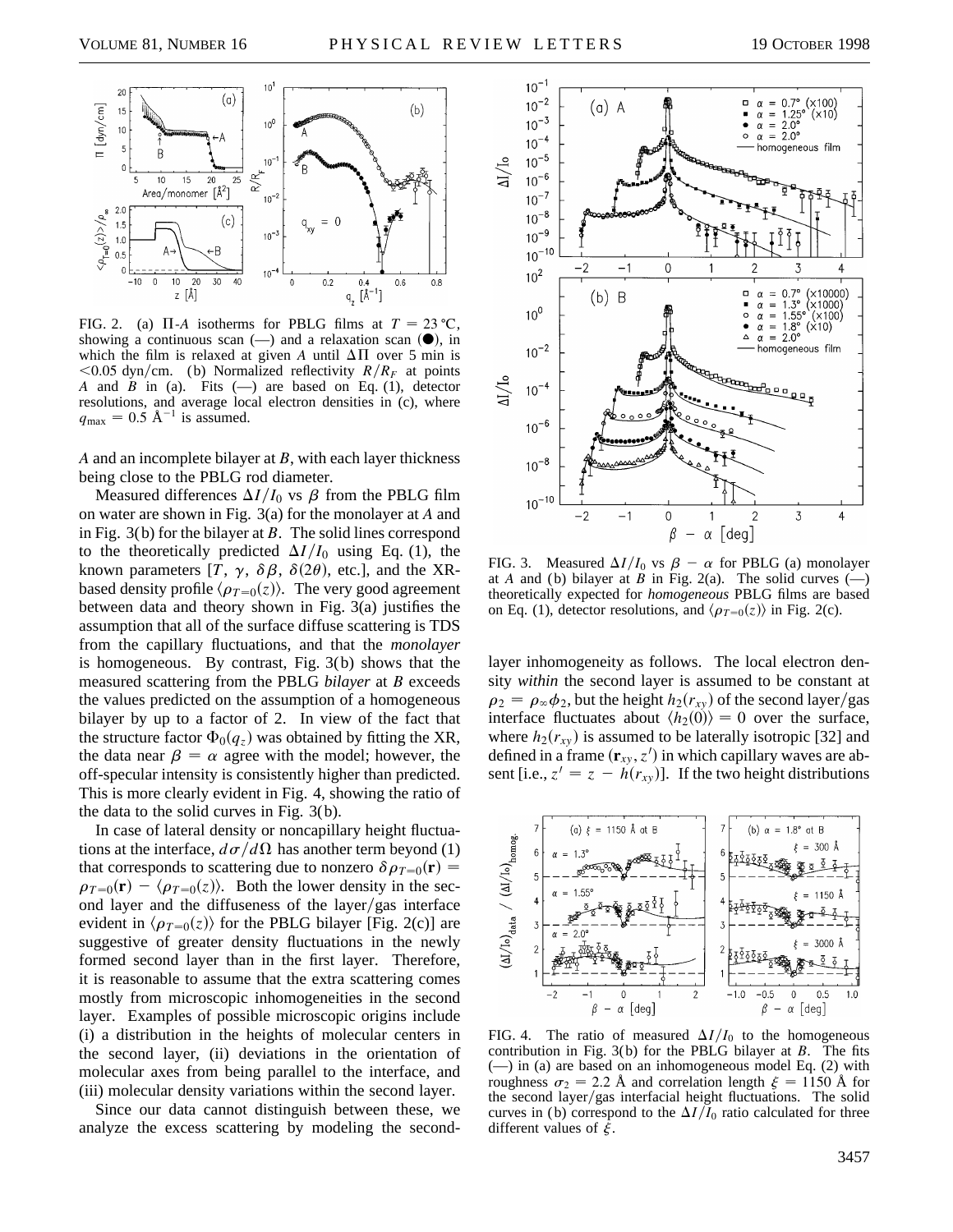

FIG. 2. (a)  $\Pi$ -*A* isotherms for PBLG films at  $T = 23 \degree C$ , showing a continuous scan  $(-)$  and a relaxation scan  $(\bullet)$ , in which the film is relaxed at given *A* until  $\Delta \Pi$  over 5 min is  $<$ 0.05 dyn/cm. (b) Normalized reflectivity *R*/*R<sub>F</sub>* at points *A* and *B* in (a). Fits  $(-)$  are based on Eq. (1), detector resolutions, and average local electron densities in (c), where  $q_{\text{max}} = 0.5 \text{ Å}^{-1}$  is assumed.

*A* and an incomplete bilayer at *B*, with each layer thickness being close to the PBLG rod diameter.

Measured differences  $\Delta I/I_0$  vs  $\beta$  from the PBLG film on water are shown in Fig. 3(a) for the monolayer at *A* and in Fig. 3(b) for the bilayer at *B*. The solid lines correspond to the theoretically predicted  $\Delta I/I_0$  using Eq. (1), the known parameters [*T*,  $\gamma$ ,  $\delta\beta$ ,  $\delta(2\theta)$ , etc.], and the XRbased density profile  $\langle \rho_{T=0}(z) \rangle$ . The very good agreement between data and theory shown in Fig. 3(a) justifies the assumption that all of the surface diffuse scattering is TDS from the capillary fluctuations, and that the *monolayer* is homogeneous. By contrast, Fig. 3(b) shows that the measured scattering from the PBLG *bilayer* at *B* exceeds the values predicted on the assumption of a homogeneous bilayer by up to a factor of 2. In view of the fact that the structure factor  $\Phi_0(q_z)$  was obtained by fitting the XR, the data near  $\beta = \alpha$  agree with the model; however, the off-specular intensity is consistently higher than predicted. This is more clearly evident in Fig. 4, showing the ratio of the data to the solid curves in Fig. 3(b).

In case of lateral density or noncapillary height fluctuations at the interface,  $d\sigma/d\Omega$  has another term beyond (1) that corresponds to scattering due to nonzero  $\delta \rho_{T=0}(\mathbf{r}) =$  $\rho_{T=0}(\mathbf{r}) - \langle \rho_{T=0}(z) \rangle$ . Both the lower density in the second layer and the diffuseness of the layer/gas interface evident in  $\langle \rho_{T=0}(z) \rangle$  for the PBLG bilayer [Fig. 2(c)] are suggestive of greater density fluctuations in the newly formed second layer than in the first layer. Therefore, it is reasonable to assume that the extra scattering comes mostly from microscopic inhomogeneities in the second layer. Examples of possible microscopic origins include (i) a distribution in the heights of molecular centers in the second layer, (ii) deviations in the orientation of molecular axes from being parallel to the interface, and (iii) molecular density variations within the second layer.

Since our data cannot distinguish between these, we analyze the excess scattering by modeling the second-



FIG. 3. Measured  $\Delta I/I_0$  vs  $\beta - \alpha$  for PBLG (a) monolayer at *A* and (b) bilayer at *B* in Fig. 2(a). The solid curves  $\left(\frac{1}{2}\right)$ theoretically expected for *homogeneous* PBLG films are based on Eq. (1), detector resolutions, and  $\langle \rho_{T=0}(z) \rangle$  in Fig. 2(c).

layer inhomogeneity as follows. The local electron density *within* the second layer is assumed to be constant at  $\rho_2 = \rho_{\infty} \phi_2$ , but the height  $h_2(r_{xy})$  of the second layer/gas interface fluctuates about  $\langle h_2(0) \rangle = 0$  over the surface, where  $h_2(r_{xy})$  is assumed to be laterally isotropic [32] and defined in a frame  $(\mathbf{r}_{xy}, z')$  in which capillary waves are absent [i.e.,  $z' = z - h(r_{xy})$ ]. If the two height distributions



FIG. 4. The ratio of measured  $\Delta I/I_0$  to the homogeneous contribution in Fig. 3( b) for the PBLG bilayer at *B*. The fits (—) in (a) are based on an inhomogeneous model Eq. (2) with roughness  $\sigma_2 = 2.2$  Å and correlation length  $\xi = 1150$  Å for the second layer/gas interfacial height fluctuations. The solid curves in (b) correspond to the  $\Delta I/I_0$  ratio calculated for three different values of  $\xi$ .